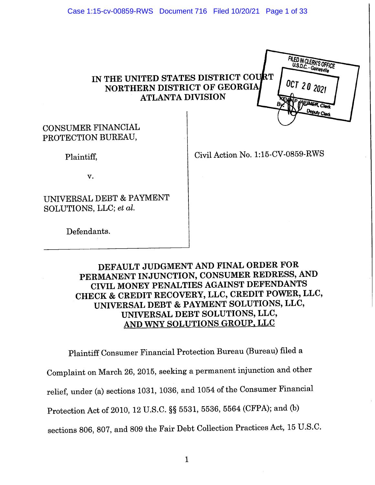## IN THE UNITED STATES DISTRICT COURT NORTHERN DISTRICT OF GEORGIA **ATLANTA DIVISION**



### **CONSUMER FINANCIAL** PROTECTION BUREAU,

Plaintiff,

Civil Action No. 1:15-CV-0859-RWS

v.

UNIVERSAL DEBT & PAYMENT SOLUTIONS, LLC; et al.

Defendants.

### DEFAULT JUDGMENT AND FINAL ORDER FOR PERMANENT INJUNCTION, CONSUMER REDRESS, AND CIVIL MONEY PENALTIES AGAINST DEFENDANTS CHECK & CREDIT RECOVERY, LLC, CREDIT POWER, LLC, UNIVERSAL DEBT & PAYMENT SOLUTIONS, LLC, UNIVERSAL DEBT SOLUTIONS, LLC, AND WNY SOLUTIONS GROUP, LLC

Plaintiff Consumer Financial Protection Bureau (Bureau) filed a Complaint on March 26, 2015, seeking a permanent injunction and other relief, under (a) sections 1031, 1036, and 1054 of the Consumer Financial Protection Act of 2010, 12 U.S.C. §§ 5531, 5536, 5564 (CFPA); and (b)

sections 806, 807, and 809 the Fair Debt Collection Practices Act, 15 U.S.C.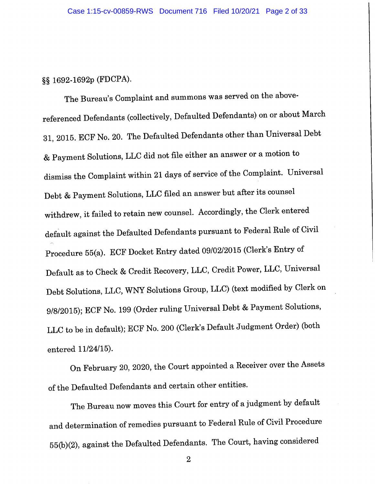### §§ 1692-1692p (FDCPA).

The Bureau's Complaint and summons was served on the abovereferenced Defendants (collectively, Defaulted Defendants) on or about March 31, 2015. ECF No. 20. The Defaulted Defendants other than Universal Debt & Payment Solutions, LLC did not file either an answer or a motion to dismiss the Complaint within 21 days of service of the Complaint. Universal Debt & Payment Solutions, LLC filed an answer but after its counsel withdrew, it failed to retain new counsel. Accordingly, the Clerk entered default against the Defaulted Defendants pursuant to Federal Rule of Civil Procedure 55(a). ECF Docket Entry dated 09/02/2015 (Clerk's Entry of Default as to Check & Credit Recovery, LLC, Credit Power, LLC, Universal Debt Solutions, LLC, WNY Solutions Group, LLC) (text modified by Clerk on 9/8/2015); ECF No. 199 (Order ruling Universal Debt & Payment Solutions, LLC to be in default); ECF No. 200 (Clerk's Default Judgment Order) (both entered 11/24/15).

On February 20, 2020, the Court appointed a Receiver over the Assets of the Defaulted Defendants and certain other entities.

The Bureau now moves this Court for entry of a judgment by default and determination of remedies pursuant to Federal Rule of Civil Procedure 55(b)(2), against the Defaulted Defendants. The Court, having considered

 $\overline{2}$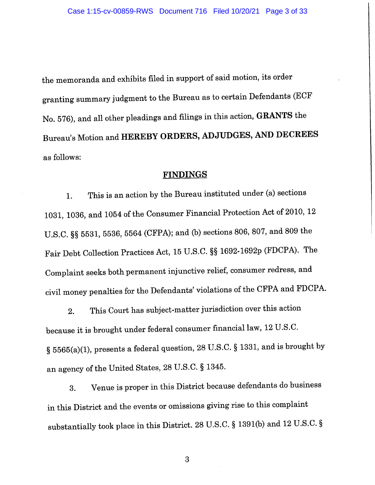the memoranda and exhibits filed in support of said motion, its order granting summary judgment to the Bureau as to certain Defendants (ECF No. 576), and all other pleadings and filings in this action, GRANTS the Bureau's Motion and HEREBY ORDERS, ADJUDGES, AND DECREES as follows:

#### **FINDINGS**

This is an action by the Bureau instituted under (a) sections 1. 1031, 1036, and 1054 of the Consumer Financial Protection Act of 2010, 12 U.S.C. §§ 5531, 5536, 5564 (CFPA); and (b) sections 806, 807, and 809 the Fair Debt Collection Practices Act, 15 U.S.C. §§ 1692-1692p (FDCPA). The Complaint seeks both permanent injunctive relief, consumer redress, and civil money penalties for the Defendants' violations of the CFPA and FDCPA.

This Court has subject-matter jurisdiction over this action  $2.$ because it is brought under federal consumer financial law, 12 U.S.C. § 5565(a)(1), presents a federal question, 28 U.S.C. § 1331, and is brought by an agency of the United States, 28 U.S.C. § 1345.

Venue is proper in this District because defendants do business 3. in this District and the events or omissions giving rise to this complaint substantially took place in this District. 28 U.S.C. § 1391(b) and 12 U.S.C. §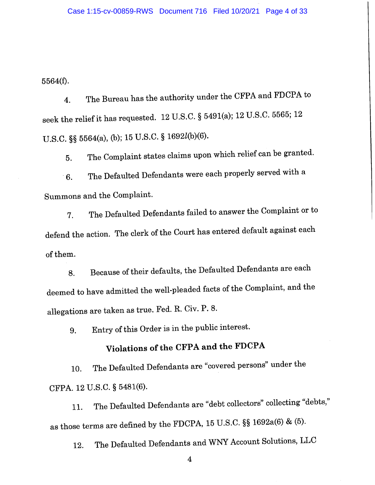5564(f).

The Bureau has the authority under the CFPA and FDCPA to 4. seek the relief it has requested. 12 U.S.C. § 5491(a); 12 U.S.C. 5565; 12 U.S.C. §§ 5564(a), (b); 15 U.S.C. § 1692l(b)(6).

The Complaint states claims upon which relief can be granted. 5.

The Defaulted Defendants were each properly served with a 6. Summons and the Complaint.

The Defaulted Defendants failed to answer the Complaint or to 7. defend the action. The clerk of the Court has entered default against each of them.

Because of their defaults, the Defaulted Defendants are each 8. deemed to have admitted the well-pleaded facts of the Complaint, and the allegations are taken as true. Fed. R. Civ. P. 8.

Entry of this Order is in the public interest. 9.

# Violations of the CFPA and the FDCPA

The Defaulted Defendants are "covered persons" under the 10. CFPA. 12 U.S.C. § 5481(6).

The Defaulted Defendants are "debt collectors" collecting "debts," 11. as those terms are defined by the FDCPA, 15 U.S.C. §§ 1692a(6) & (5).

The Defaulted Defendants and WNY Account Solutions, LLC 12.

 $\overline{\mathbf{4}}$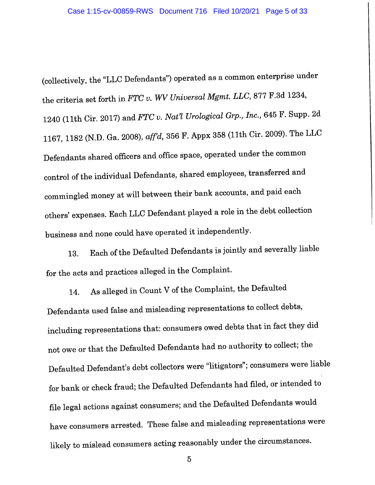(collectively, the "LLC Defendants") operated as a common enterprise under the criteria set forth in FTC v. WV Universal Mgmt. LLC, 877 F.3d 1234, 1240 (11th Cir. 2017) and FTC v. Nat'l Urological Grp., Inc., 645 F. Supp. 2d 1167, 1182 (N.D. Ga. 2008), aff'd, 356 F. Appx 358 (11th Cir. 2009). The LLC Defendants shared officers and office space, operated under the common control of the individual Defendants, shared employees, transferred and commingled money at will between their bank accounts, and paid each others' expenses. Each LLC Defendant played a role in the debt collection business and none could have operated it independently.

Each of the Defaulted Defendants is jointly and severally liable 13. for the acts and practices alleged in the Complaint.

As alleged in Count V of the Complaint, the Defaulted 14. Defendants used false and misleading representations to collect debts, including representations that: consumers owed debts that in fact they did not owe or that the Defaulted Defendants had no authority to collect; the Defaulted Defendant's debt collectors were "litigators"; consumers were liable for bank or check fraud; the Defaulted Defendants had filed, or intended to file legal actions against consumers; and the Defaulted Defendants would have consumers arrested. These false and misleading representations were likely to mislead consumers acting reasonably under the circumstances.

 $\overline{5}$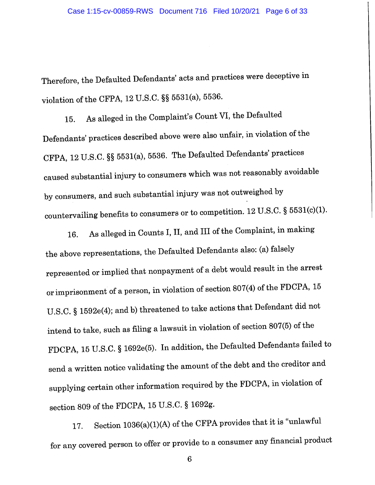Therefore, the Defaulted Defendants' acts and practices were deceptive in violation of the CFPA, 12 U.S.C. §§ 5531(a), 5536.

As alleged in the Complaint's Count VI, the Defaulted 15. Defendants' practices described above were also unfair, in violation of the CFPA, 12 U.S.C. §§ 5531(a), 5536. The Defaulted Defendants' practices caused substantial injury to consumers which was not reasonably avoidable by consumers, and such substantial injury was not outweighed by countervailing benefits to consumers or to competition. 12 U.S.C. § 5531(c)(1).

As alleged in Counts I, II, and III of the Complaint, in making 16. the above representations, the Defaulted Defendants also: (a) falsely represented or implied that nonpayment of a debt would result in the arrest or imprisonment of a person, in violation of section 807(4) of the FDCPA, 15 U.S.C. § 1592e(4); and b) threatened to take actions that Defendant did not intend to take, such as filing a lawsuit in violation of section 807(5) of the FDCPA, 15 U.S.C. § 1692e(5). In addition, the Defaulted Defendants failed to send a written notice validating the amount of the debt and the creditor and supplying certain other information required by the FDCPA, in violation of section 809 of the FDCPA, 15 U.S.C. § 1692g.

Section 1036(a)(1)(A) of the CFPA provides that it is "unlawful 17. for any covered person to offer or provide to a consumer any financial product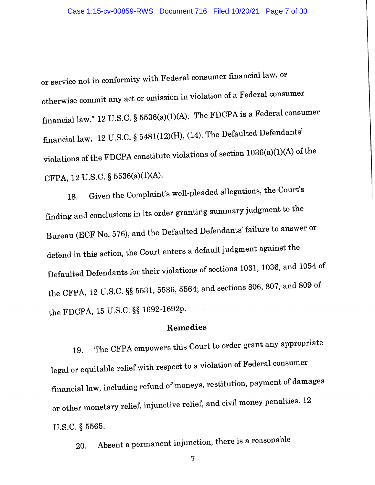or service not in conformity with Federal consumer financial law, or otherwise commit any act or omission in violation of a Federal consumer financial law." 12 U.S.C. § 5536(a)(1)(A). The FDCPA is a Federal consumer financial law. 12 U.S.C. § 5481(12)(H), (14). The Defaulted Defendants' violations of the FDCPA constitute violations of section 1036(a)(1)(A) of the CFPA, 12 U.S.C. § 5536(a)(1)(A).

Given the Complaint's well-pleaded allegations, the Court's 18. finding and conclusions in its order granting summary judgment to the Bureau (ECF No. 576), and the Defaulted Defendants' failure to answer or defend in this action, the Court enters a default judgment against the Defaulted Defendants for their violations of sections 1031, 1036, and 1054 of the CFPA, 12 U.S.C. §§ 5531, 5536, 5564; and sections 806, 807, and 809 of the FDCPA, 15 U.S.C. §§ 1692-1692p.

### Remedies

The CFPA empowers this Court to order grant any appropriate 19. legal or equitable relief with respect to a violation of Federal consumer financial law, including refund of moneys, restitution, payment of damages or other monetary relief, injunctive relief, and civil money penalties. 12 U.S.C. § 5565.

Absent a permanent injunction, there is a reasonable 20.

 $\overline{7}$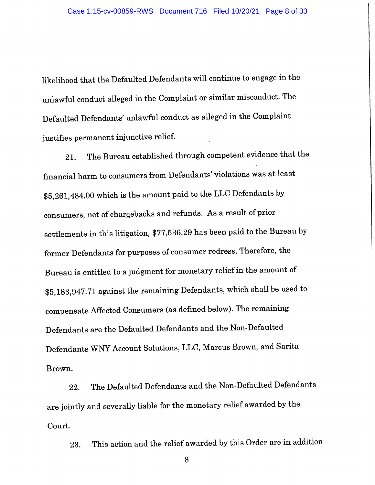likelihood that the Defaulted Defendants will continue to engage in the unlawful conduct alleged in the Complaint or similar misconduct. The Defaulted Defendants' unlawful conduct as alleged in the Complaint justifies permanent injunctive relief.

The Bureau established through competent evidence that the 21. financial harm to consumers from Defendants' violations was at least \$5,261,484.00 which is the amount paid to the LLC Defendants by consumers, net of chargebacks and refunds. As a result of prior settlements in this litigation, \$77,536.29 has been paid to the Bureau by former Defendants for purposes of consumer redress. Therefore, the Bureau is entitled to a judgment for monetary relief in the amount of \$5,183,947.71 against the remaining Defendants, which shall be used to compensate Affected Consumers (as defined below). The remaining Defendants are the Defaulted Defendants and the Non-Defaulted Defendants WNY Account Solutions, LLC, Marcus Brown, and Sarita Brown.

The Defaulted Defendants and the Non-Defaulted Defendants 22. are jointly and severally liable for the monetary relief awarded by the Court.

This action and the relief awarded by this Order are in addition 23.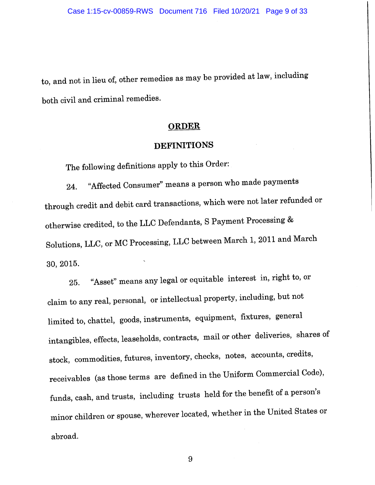to, and not in lieu of, other remedies as may be provided at law, including both civil and criminal remedies.

#### **ORDER**

#### **DEFINITIONS**

The following definitions apply to this Order:

"Affected Consumer" means a person who made payments 24. through credit and debit card transactions, which were not later refunded or otherwise credited, to the LLC Defendants, S Payment Processing & Solutions, LLC, or MC Processing, LLC between March 1, 2011 and March 30, 2015.

"Asset" means any legal or equitable interest in, right to, or 25. claim to any real, personal, or intellectual property, including, but not limited to, chattel, goods, instruments, equipment, fixtures, general intangibles, effects, leaseholds, contracts, mail or other deliveries, shares of stock, commodities, futures, inventory, checks, notes, accounts, credits, receivables (as those terms are defined in the Uniform Commercial Code), funds, cash, and trusts, including trusts held for the benefit of a person's minor children or spouse, wherever located, whether in the United States or abroad.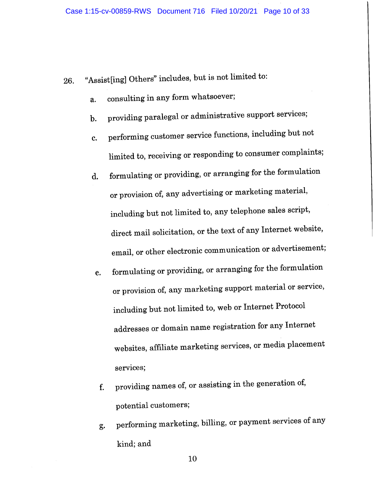- "Assist[ing] Others" includes, but is not limited to: 26.
	- consulting in any form whatsoever; a.
	- providing paralegal or administrative support services;  $\mathbf{b}$ .
	- performing customer service functions, including but not c. limited to, receiving or responding to consumer complaints;
	- formulating or providing, or arranging for the formulation  $\mathbf{d}$ . or provision of, any advertising or marketing material, including but not limited to, any telephone sales script, direct mail solicitation, or the text of any Internet website, email, or other electronic communication or advertisement;
	- formulating or providing, or arranging for the formulation e. or provision of, any marketing support material or service, including but not limited to, web or Internet Protocol addresses or domain name registration for any Internet websites, affiliate marketing services, or media placement services;
	- providing names of, or assisting in the generation of, f. potential customers;
	- performing marketing, billing, or payment services of any g. kind; and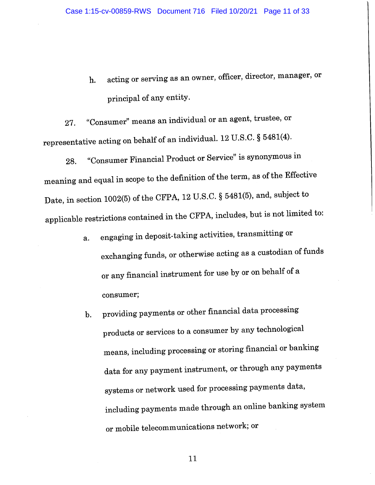acting or serving as an owner, officer, director, manager, or h. principal of any entity.

"Consumer" means an individual or an agent, trustee, or 27. representative acting on behalf of an individual. 12 U.S.C. § 5481(4).

"Consumer Financial Product or Service" is synonymous in 28. meaning and equal in scope to the definition of the term, as of the Effective Date, in section 1002(5) of the CFPA, 12 U.S.C. § 5481(5), and, subject to applicable restrictions contained in the CFPA, includes, but is not limited to:

- engaging in deposit-taking activities, transmitting or a. exchanging funds, or otherwise acting as a custodian of funds or any financial instrument for use by or on behalf of a consumer;
- providing payments or other financial data processing  $\mathbf{b}$ . products or services to a consumer by any technological means, including processing or storing financial or banking data for any payment instrument, or through any payments systems or network used for processing payments data, including payments made through an online banking system or mobile telecommunications network; or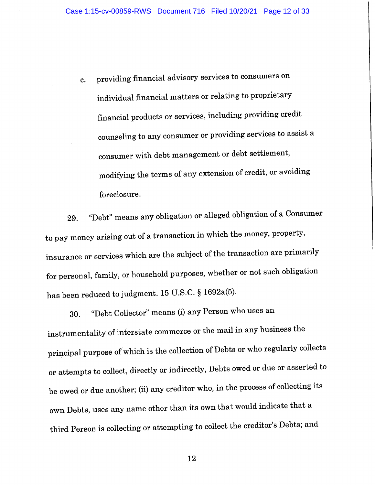providing financial advisory services to consumers on c. individual financial matters or relating to proprietary financial products or services, including providing credit counseling to any consumer or providing services to assist a consumer with debt management or debt settlement, modifying the terms of any extension of credit, or avoiding foreclosure.

"Debt" means any obligation or alleged obligation of a Consumer 29. to pay money arising out of a transaction in which the money, property, insurance or services which are the subject of the transaction are primarily for personal, family, or household purposes, whether or not such obligation has been reduced to judgment. 15 U.S.C. § 1692a(5).

"Debt Collector" means (i) any Person who uses an 30. instrumentality of interstate commerce or the mail in any business the principal purpose of which is the collection of Debts or who regularly collects or attempts to collect, directly or indirectly, Debts owed or due or asserted to be owed or due another; (ii) any creditor who, in the process of collecting its own Debts, uses any name other than its own that would indicate that a third Person is collecting or attempting to collect the creditor's Debts; and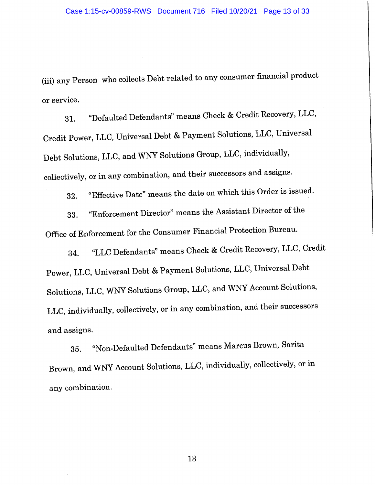(iii) any Person who collects Debt related to any consumer financial product or service.

"Defaulted Defendants" means Check & Credit Recovery, LLC, 31. Credit Power, LLC, Universal Debt & Payment Solutions, LLC, Universal Debt Solutions, LLC, and WNY Solutions Group, LLC, individually, collectively, or in any combination, and their successors and assigns.

"Effective Date" means the date on which this Order is issued. 32.

"Enforcement Director" means the Assistant Director of the 33. Office of Enforcement for the Consumer Financial Protection Bureau.

"LLC Defendants" means Check & Credit Recovery, LLC, Credit 34. Power, LLC, Universal Debt & Payment Solutions, LLC, Universal Debt Solutions, LLC, WNY Solutions Group, LLC, and WNY Account Solutions, LLC, individually, collectively, or in any combination, and their successors and assigns.

"Non-Defaulted Defendants" means Marcus Brown, Sarita 35. Brown, and WNY Account Solutions, LLC, individually, collectively, or in any combination.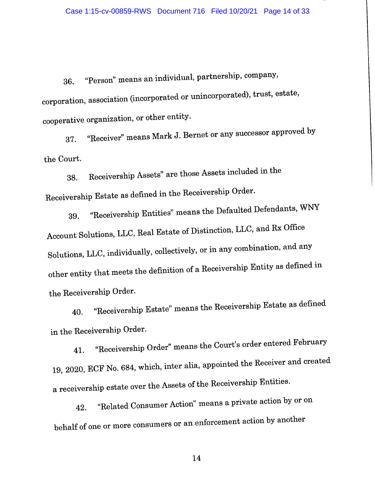"Person" means an individual, partnership, company, 36. corporation, association (incorporated or unincorporated), trust, estate, cooperative organization, or other entity.

"Receiver" means Mark J. Bernet or any successor approved by 37. the Court.

Receivership Assets" are those Assets included in the 38. Receivership Estate as defined in the Receivership Order.

"Receivership Entities" means the Defaulted Defendants, WNY 39. Account Solutions, LLC, Real Estate of Distinction, LLC, and Rx Office Solutions, LLC, individually, collectively, or in any combination, and any other entity that meets the definition of a Receivership Entity as defined in the Receivership Order.

"Receivership Estate" means the Receivership Estate as defined 40. in the Receivership Order.

"Receivership Order" means the Court's order entered February 41. 19, 2020, ECF No. 684, which, inter alia, appointed the Receiver and created a receivership estate over the Assets of the Receivership Entities.

"Related Consumer Action" means a private action by or on 42. behalf of one or more consumers or an enforcement action by another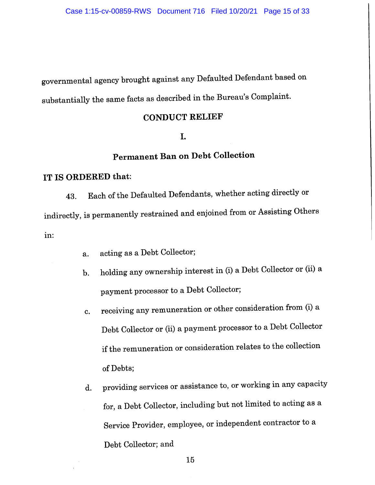governmental agency brought against any Defaulted Defendant based on substantially the same facts as described in the Bureau's Complaint.

# **CONDUCT RELIEF**

#### I.

# **Permanent Ban on Debt Collection**

#### IT IS ORDERED that:

Each of the Defaulted Defendants, whether acting directly or 43. indirectly, is permanently restrained and enjoined from or Assisting Others in:

- acting as a Debt Collector;  $a<sub>1</sub>$
- holding any ownership interest in (i) a Debt Collector or (ii) a  $\mathbf b$ . payment processor to a Debt Collector;
- receiving any remuneration or other consideration from (i) a c. Debt Collector or (ii) a payment processor to a Debt Collector if the remuneration or consideration relates to the collection of Debts;
- providing services or assistance to, or working in any capacity  $\mathbf{d}$ . for, a Debt Collector, including but not limited to acting as a Service Provider, employee, or independent contractor to a Debt Collector; and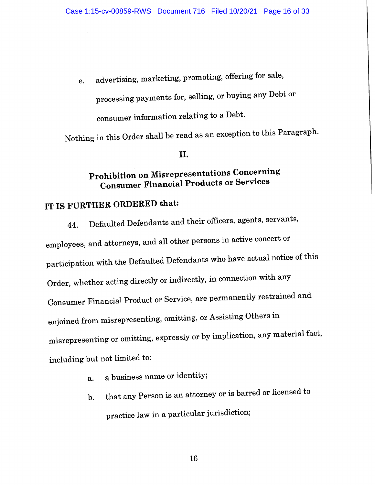advertising, marketing, promoting, offering for sale, e. processing payments for, selling, or buying any Debt or consumer information relating to a Debt.

Nothing in this Order shall be read as an exception to this Paragraph.

#### II.

# Prohibition on Misrepresentations Concerning **Consumer Financial Products or Services**

# IT IS FURTHER ORDERED that:

Defaulted Defendants and their officers, agents, servants, 44. employees, and attorneys, and all other persons in active concert or participation with the Defaulted Defendants who have actual notice of this Order, whether acting directly or indirectly, in connection with any Consumer Financial Product or Service, are permanently restrained and enjoined from misrepresenting, omitting, or Assisting Others in misrepresenting or omitting, expressly or by implication, any material fact, including but not limited to:

- a business name or identity;  $\mathbf{a}$ .
- that any Person is an attorney or is barred or licensed to  $\mathbf{b}$ . practice law in a particular jurisdiction;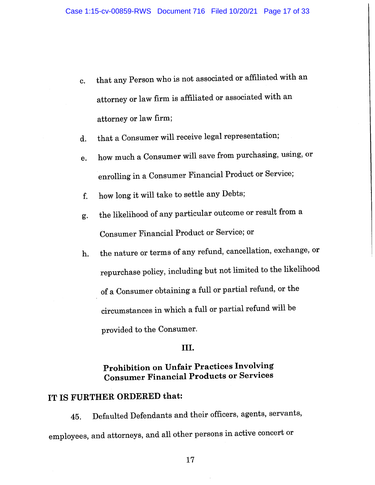- that any Person who is not associated or affiliated with an  $\mathbf{c}$ . attorney or law firm is affiliated or associated with an attorney or law firm;
- that a Consumer will receive legal representation;  $\mathbf{d}$ .
- how much a Consumer will save from purchasing, using, or e. enrolling in a Consumer Financial Product or Service;
- how long it will take to settle any Debts; f.
- the likelihood of any particular outcome or result from a g. Consumer Financial Product or Service; or
- the nature or terms of any refund, cancellation, exchange, or  $\mathbf{h}$ . repurchase policy, including but not limited to the likelihood of a Consumer obtaining a full or partial refund, or the circumstances in which a full or partial refund will be provided to the Consumer.

#### III.

## **Prohibition on Unfair Practices Involving Consumer Financial Products or Services**

# IT IS FURTHER ORDERED that:

Defaulted Defendants and their officers, agents, servants, 45. employees, and attorneys, and all other persons in active concert or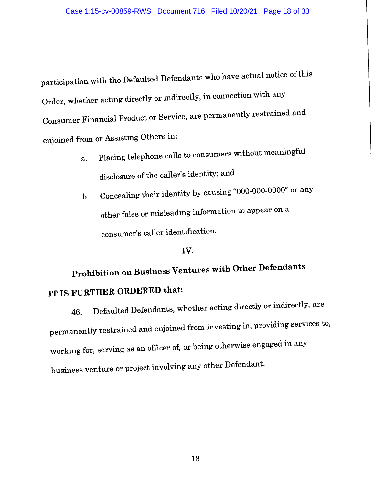participation with the Defaulted Defendants who have actual notice of this Order, whether acting directly or indirectly, in connection with any Consumer Financial Product or Service, are permanently restrained and enjoined from or Assisting Others in:

- Placing telephone calls to consumers without meaningful a. disclosure of the caller's identity; and
- Concealing their identity by causing "000-000-0000" or any  $\mathbf{b}$ . other false or misleading information to appear on a consumer's caller identification.

#### IV.

# Prohibition on Business Ventures with Other Defendants IT IS FURTHER ORDERED that:

Defaulted Defendants, whether acting directly or indirectly, are 46. permanently restrained and enjoined from investing in, providing services to, working for, serving as an officer of, or being otherwise engaged in any business venture or project involving any other Defendant.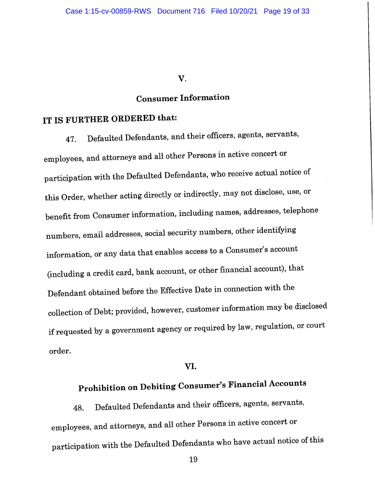#### V.

# **Consumer Information**

# IT IS FURTHER ORDERED that:

Defaulted Defendants, and their officers, agents, servants, 47. employees, and attorneys and all other Persons in active concert or participation with the Defaulted Defendants, who receive actual notice of this Order, whether acting directly or indirectly, may not disclose, use, or benefit from Consumer information, including names, addresses, telephone numbers, email addresses, social security numbers, other identifying information, or any data that enables access to a Consumer's account (including a credit card, bank account, or other financial account), that Defendant obtained before the Effective Date in connection with the collection of Debt; provided, however, customer information may be disclosed if requested by a government agency or required by law, regulation, or court order.

#### VI.

# Prohibition on Debiting Consumer's Financial Accounts

Defaulted Defendants and their officers, agents, servants, 48. employees, and attorneys, and all other Persons in active concert or participation with the Defaulted Defendants who have actual notice of this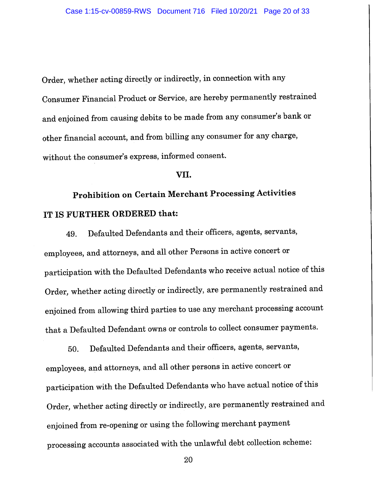Order, whether acting directly or indirectly, in connection with any Consumer Financial Product or Service, are hereby permanently restrained and enjoined from causing debits to be made from any consumer's bank or other financial account, and from billing any consumer for any charge, without the consumer's express, informed consent.

#### VII.

# **Prohibition on Certain Merchant Processing Activities** IT IS FURTHER ORDERED that:

Defaulted Defendants and their officers, agents, servants, 49. employees, and attorneys, and all other Persons in active concert or participation with the Defaulted Defendants who receive actual notice of this Order, whether acting directly or indirectly, are permanently restrained and enjoined from allowing third parties to use any merchant processing account that a Defaulted Defendant owns or controls to collect consumer payments.

Defaulted Defendants and their officers, agents, servants, 50. employees, and attorneys, and all other persons in active concert or participation with the Defaulted Defendants who have actual notice of this Order, whether acting directly or indirectly, are permanently restrained and enjoined from re-opening or using the following merchant payment processing accounts associated with the unlawful debt collection scheme: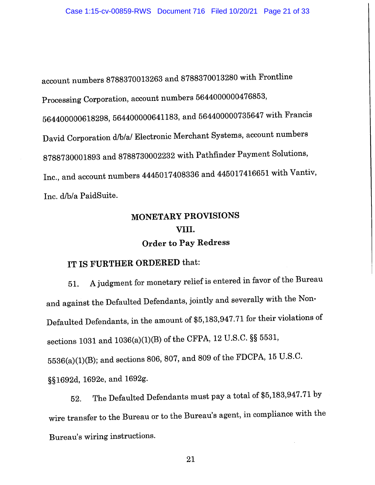account numbers 8788370013263 and 8788370013280 with Frontline Processing Corporation, account numbers 5644000000476853, 564400000618298, 564400000641183, and 564400000735647 with Francis David Corporation d/b/a/ Electronic Merchant Systems, account numbers 8788730001893 and 8788730002232 with Pathfinder Payment Solutions, Inc., and account numbers 4445017408336 and 445017416651 with Vantiv, Inc. d/b/a PaidSuite.

# **MONETARY PROVISIONS** VIII. **Order to Pay Redress**

# IT IS FURTHER ORDERED that:

A judgment for monetary relief is entered in favor of the Bureau 51. and against the Defaulted Defendants, jointly and severally with the Non-Defaulted Defendants, in the amount of \$5,183,947.71 for their violations of sections 1031 and 1036(a)(1)(B) of the CFPA, 12 U.S.C. §§ 5531, 5536(a)(1)(B); and sections 806, 807, and 809 of the FDCPA, 15 U.S.C. §§1692d, 1692e, and 1692g.

The Defaulted Defendants must pay a total of \$5,183,947.71 by 52. wire transfer to the Bureau or to the Bureau's agent, in compliance with the Bureau's wiring instructions.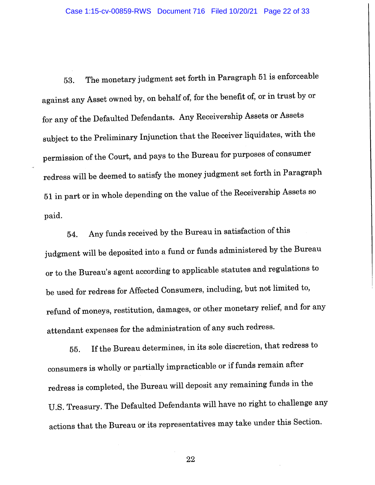The monetary judgment set forth in Paragraph 51 is enforceable 53. against any Asset owned by, on behalf of, for the benefit of, or in trust by or for any of the Defaulted Defendants. Any Receivership Assets or Assets subject to the Preliminary Injunction that the Receiver liquidates, with the permission of the Court, and pays to the Bureau for purposes of consumer redress will be deemed to satisfy the money judgment set forth in Paragraph 51 in part or in whole depending on the value of the Receivership Assets so paid.

Any funds received by the Bureau in satisfaction of this 54. judgment will be deposited into a fund or funds administered by the Bureau or to the Bureau's agent according to applicable statutes and regulations to be used for redress for Affected Consumers, including, but not limited to, refund of moneys, restitution, damages, or other monetary relief, and for any attendant expenses for the administration of any such redress.

If the Bureau determines, in its sole discretion, that redress to 55. consumers is wholly or partially impracticable or if funds remain after redress is completed, the Bureau will deposit any remaining funds in the U.S. Treasury. The Defaulted Defendants will have no right to challenge any actions that the Bureau or its representatives may take under this Section.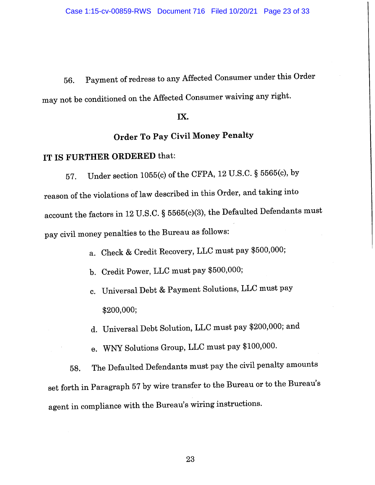Payment of redress to any Affected Consumer under this Order 56. may not be conditioned on the Affected Consumer waiving any right.

#### IX.

# **Order To Pay Civil Money Penalty**

# IT IS FURTHER ORDERED that:

Under section 1055(c) of the CFPA, 12 U.S.C. § 5565(c), by 57. reason of the violations of law described in this Order, and taking into account the factors in 12 U.S.C. § 5565(c)(3), the Defaulted Defendants must pay civil money penalties to the Bureau as follows:

- a. Check & Credit Recovery, LLC must pay \$500,000;
- b. Credit Power, LLC must pay \$500,000;
- c. Universal Debt & Payment Solutions, LLC must pay \$200,000;
- d. Universal Debt Solution, LLC must pay \$200,000; and
- e. WNY Solutions Group, LLC must pay \$100,000.

The Defaulted Defendants must pay the civil penalty amounts 58. set forth in Paragraph 57 by wire transfer to the Bureau or to the Bureau's agent in compliance with the Bureau's wiring instructions.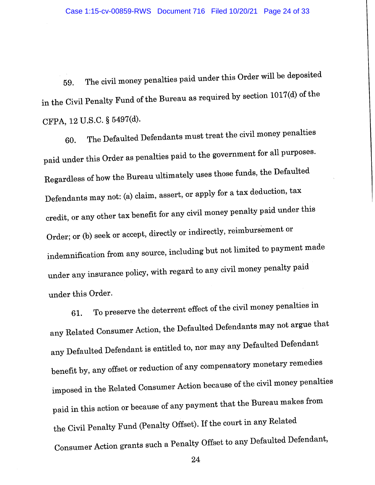The civil money penalties paid under this Order will be deposited 59. in the Civil Penalty Fund of the Bureau as required by section 1017(d) of the CFPA, 12 U.S.C. § 5497(d).

The Defaulted Defendants must treat the civil money penalties 60. paid under this Order as penalties paid to the government for all purposes. Regardless of how the Bureau ultimately uses those funds, the Defaulted Defendants may not: (a) claim, assert, or apply for a tax deduction, tax credit, or any other tax benefit for any civil money penalty paid under this Order; or (b) seek or accept, directly or indirectly, reimbursement or indemnification from any source, including but not limited to payment made under any insurance policy, with regard to any civil money penalty paid under this Order.

To preserve the deterrent effect of the civil money penalties in 61. any Related Consumer Action, the Defaulted Defendants may not argue that any Defaulted Defendant is entitled to, nor may any Defaulted Defendant benefit by, any offset or reduction of any compensatory monetary remedies imposed in the Related Consumer Action because of the civil money penalties paid in this action or because of any payment that the Bureau makes from the Civil Penalty Fund (Penalty Offset). If the court in any Related Consumer Action grants such a Penalty Offset to any Defaulted Defendant,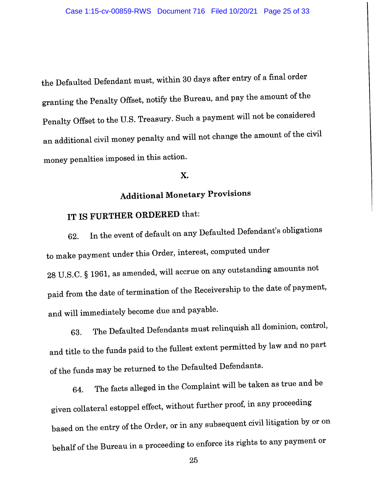the Defaulted Defendant must, within 30 days after entry of a final order granting the Penalty Offset, notify the Bureau, and pay the amount of the Penalty Offset to the U.S. Treasury. Such a payment will not be considered an additional civil money penalty and will not change the amount of the civil money penalties imposed in this action.

#### X.

# **Additional Monetary Provisions**

# IT IS FURTHER ORDERED that:

In the event of default on any Defaulted Defendant's obligations 62. to make payment under this Order, interest, computed under 28 U.S.C. § 1961, as amended, will accrue on any outstanding amounts not paid from the date of termination of the Receivership to the date of payment, and will immediately become due and payable.

The Defaulted Defendants must relinquish all dominion, control, 63. and title to the funds paid to the fullest extent permitted by law and no part of the funds may be returned to the Defaulted Defendants.

The facts alleged in the Complaint will be taken as true and be 64. given collateral estoppel effect, without further proof, in any proceeding based on the entry of the Order, or in any subsequent civil litigation by or on behalf of the Bureau in a proceeding to enforce its rights to any payment or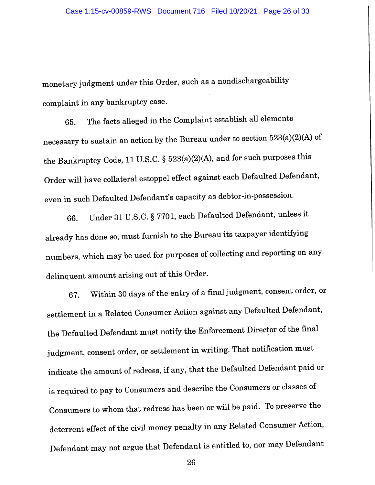monetary judgment under this Order, such as a nondischargeability complaint in any bankruptcy case.

The facts alleged in the Complaint establish all elements 65. necessary to sustain an action by the Bureau under to section 523(a)(2)(A) of the Bankruptcy Code, 11 U.S.C. § 523(a)(2)(A), and for such purposes this Order will have collateral estoppel effect against each Defaulted Defendant, even in such Defaulted Defendant's capacity as debtor-in-possession.

Under 31 U.S.C. § 7701, each Defaulted Defendant, unless it 66. already has done so, must furnish to the Bureau its taxpayer identifying numbers, which may be used for purposes of collecting and reporting on any delinquent amount arising out of this Order.

Within 30 days of the entry of a final judgment, consent order, or 67. settlement in a Related Consumer Action against any Defaulted Defendant, the Defaulted Defendant must notify the Enforcement Director of the final judgment, consent order, or settlement in writing. That notification must indicate the amount of redress, if any, that the Defaulted Defendant paid or is required to pay to Consumers and describe the Consumers or classes of Consumers to whom that redress has been or will be paid. To preserve the deterrent effect of the civil money penalty in any Related Consumer Action, Defendant may not argue that Defendant is entitled to, nor may Defendant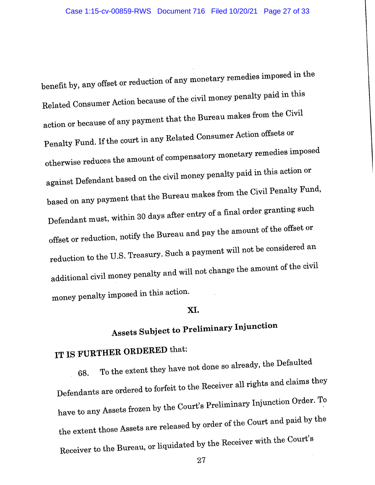benefit by, any offset or reduction of any monetary remedies imposed in the Related Consumer Action because of the civil money penalty paid in this action or because of any payment that the Bureau makes from the Civil Penalty Fund. If the court in any Related Consumer Action offsets or otherwise reduces the amount of compensatory monetary remedies imposed against Defendant based on the civil money penalty paid in this action or based on any payment that the Bureau makes from the Civil Penalty Fund, Defendant must, within 30 days after entry of a final order granting such offset or reduction, notify the Bureau and pay the amount of the offset or reduction to the U.S. Treasury. Such a payment will not be considered an additional civil money penalty and will not change the amount of the civil money penalty imposed in this action.

#### XI.

# **Assets Subject to Preliminary Injunction**

# IT IS FURTHER ORDERED that:

To the extent they have not done so already, the Defaulted 68. Defendants are ordered to forfeit to the Receiver all rights and claims they have to any Assets frozen by the Court's Preliminary Injunction Order. To the extent those Assets are released by order of the Court and paid by the Receiver to the Bureau, or liquidated by the Receiver with the Court's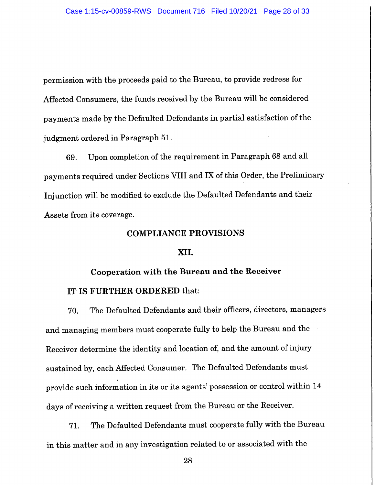permission with the proceeds paid to the Bureau, to provide redress for Affected Consumers, the funds received by the Bureau will be considered payments made by the Defaulted Defendants in partial satisfaction of the judgment ordered in Paragraph 51.

Upon completion of the requirement in Paragraph 68 and all 69. payments required under Sections VIII and IX of this Order, the Preliminary Injunction will be modified to exclude the Defaulted Defendants and their Assets from its coverage.

#### **COMPLIANCE PROVISIONS**

#### XII.

# Cooperation with the Bureau and the Receiver IT IS FURTHER ORDERED that:

The Defaulted Defendants and their officers, directors, managers 70. and managing members must cooperate fully to help the Bureau and the Receiver determine the identity and location of, and the amount of injury sustained by, each Affected Consumer. The Defaulted Defendants must provide such information in its or its agents' possession or control within 14 days of receiving a written request from the Bureau or the Receiver.

The Defaulted Defendants must cooperate fully with the Bureau 71. in this matter and in any investigation related to or associated with the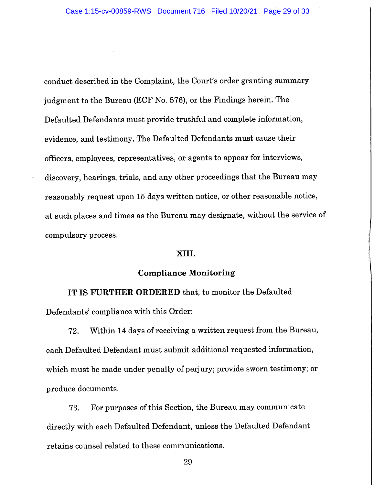conduct described in the Complaint, the Court's order granting summary judgment to the Bureau (ECF No. 576), or the Findings herein. The Defaulted Defendants must provide truthful and complete information, evidence, and testimony. The Defaulted Defendants must cause their officers, employees, representatives, or agents to appear for interviews, discovery, hearings, trials, and any other proceedings that the Bureau may reasonably request upon 15 days written notice, or other reasonable notice, at such places and times as the Bureau may designate, without the service of compulsory process.

#### XIII.

#### **Compliance Monitoring**

IT IS FURTHER ORDERED that, to monitor the Defaulted Defendants' compliance with this Order:

Within 14 days of receiving a written request from the Bureau, 72. each Defaulted Defendant must submit additional requested information, which must be made under penalty of perjury; provide sworn testimony; or produce documents.

For purposes of this Section, the Bureau may communicate 73. directly with each Defaulted Defendant, unless the Defaulted Defendant retains counsel related to these communications.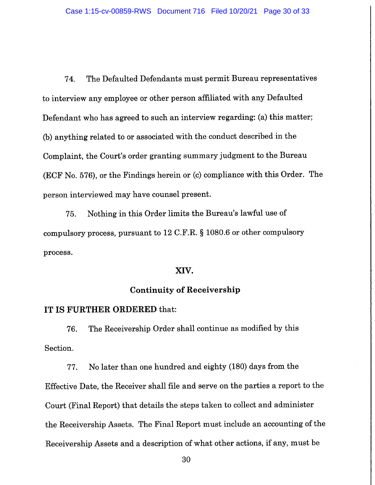74. The Defaulted Defendants must permit Bureau representatives to interview any employee or other person affiliated with any Defaulted Defendant who has agreed to such an interview regarding: (a) this matter; (b) anything related to or associated with the conduct described in the Complaint, the Court's order granting summary judgment to the Bureau (ECF No. 576), or the Findings herein or (c) compliance with this Order. The person interviewed may have counsel present.

Nothing in this Order limits the Bureau's lawful use of 75. compulsory process, pursuant to 12 C.F.R.  $\S$  1080.6 or other compulsory process.

#### XIV.

#### **Continuity of Receivership**

#### IT IS FURTHER ORDERED that:

The Receivership Order shall continue as modified by this 76. Section.

No later than one hundred and eighty (180) days from the 77. Effective Date, the Receiver shall file and serve on the parties a report to the Court (Final Report) that details the steps taken to collect and administer the Receivership Assets. The Final Report must include an accounting of the Receivership Assets and a description of what other actions, if any, must be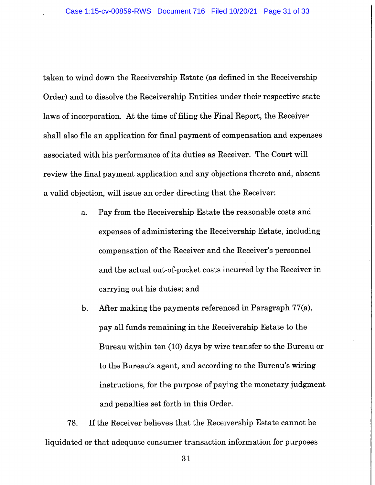taken to wind down the Receivership Estate (as defined in the Receivership Order) and to dissolve the Receivership Entities under their respective state laws of incorporation. At the time of filing the Final Report, the Receiver shall also file an application for final payment of compensation and expenses associated with his performance of its duties as Receiver. The Court will review the final payment application and any objections thereto and, absent a valid objection, will issue an order directing that the Receiver:

- Pay from the Receivership Estate the reasonable costs and a. expenses of administering the Receivership Estate, including compensation of the Receiver and the Receiver's personnel and the actual out-of-pocket costs incurred by the Receiver in carrying out his duties; and
- After making the payments referenced in Paragraph 77(a),  $\mathbf{b}$ . pay all funds remaining in the Receivership Estate to the Bureau within ten (10) days by wire transfer to the Bureau or to the Bureau's agent, and according to the Bureau's wiring instructions, for the purpose of paying the monetary judgment and penalties set forth in this Order.

If the Receiver believes that the Receivership Estate cannot be 78. liquidated or that adequate consumer transaction information for purposes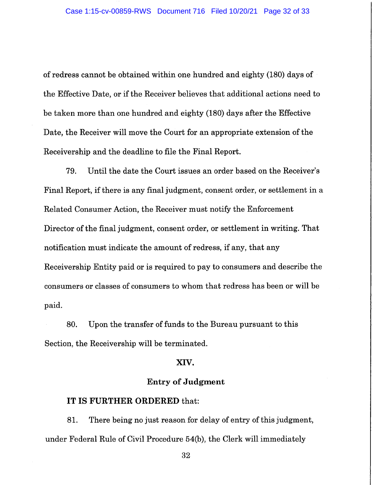of redress cannot be obtained within one hundred and eighty (180) days of the Effective Date, or if the Receiver believes that additional actions need to be taken more than one hundred and eighty (180) days after the Effective Date, the Receiver will move the Court for an appropriate extension of the Receivership and the deadline to file the Final Report.

79. Until the date the Court issues an order based on the Receiver's Final Report, if there is any final judgment, consent order, or settlement in a Related Consumer Action, the Receiver must notify the Enforcement Director of the final judgment, consent order, or settlement in writing. That notification must indicate the amount of redress, if any, that any Receivership Entity paid or is required to pay to consumers and describe the consumers or classes of consumers to whom that redress has been or will be paid.

80. Upon the transfer of funds to the Bureau pursuant to this Section, the Receivership will be terminated.

#### XIV.

#### **Entry of Judgment**

#### IT IS FURTHER ORDERED that:

81. There being no just reason for delay of entry of this judgment, under Federal Rule of Civil Procedure 54(b), the Clerk will immediately